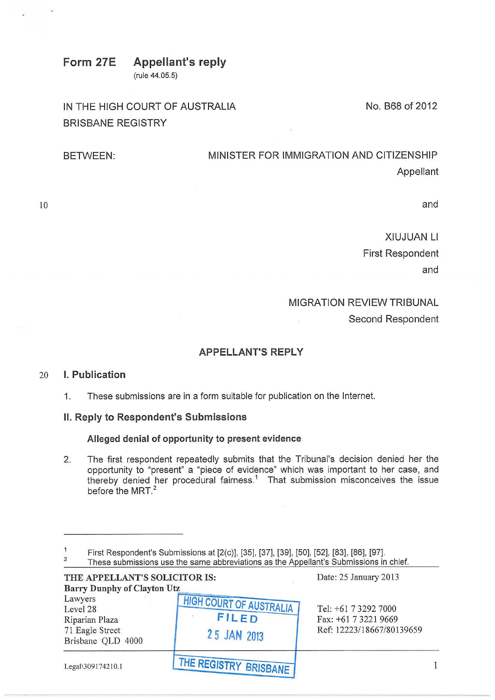## Form 27E Appellant's reply (rule 44.05.5)

IN THE HIGH COURT OF AUSTRALIA BRISBANE REGISTRY

BETWEEN: MINISTER FOR IMMIGRATION AND CITIZENSHIP Appellant

10

and

XIUJUAN Ll First Respondent and

No. B68 of 2012

## MIGRATION REVIEW TRIBUNAL

Second Respondent

# APPELLANT'S REPLY

### 20 I. Publication

1. These submissions are in a form suitable for publication on the Internet.

# II. Reply to Respondent's Submissions

#### Alleged denial of opportunity to present evidence

2. The first respondent repeatedly submits that the Tribunal's decision denied her the opportunity to "present" a "piece of evidence" which was important to her case, and thereby denied her procedural fairness.<sup>1</sup> That submission misconceives the issue before the MRT.<sup>2</sup>

 $\mathbf{1}$ First Respondent's Submissions at [2(c)], [35], [37], [39], [50], [52], [83], [86], [97].

| THE APPELLANT'S SOLICITOR IS:<br><b>Barry Dunphy of Clayton Utz</b>           |                                                               | Date: 25 January 2013                                                     |
|-------------------------------------------------------------------------------|---------------------------------------------------------------|---------------------------------------------------------------------------|
| Lawyers<br>Level 28<br>Riparian Plaza<br>71 Eagle Street<br>Brisbane QLD 4000 | <b>HIGH COURT OF AUSTRALIA</b><br><b>FILED</b><br>25 JAN 2013 | Tel: +61 7 3292 7000<br>Fax: +61 7 3221 9669<br>Ref: 12223/18667/80139659 |
| Legal\309174210.1                                                             | THE REGISTRY BRISBANE                                         |                                                                           |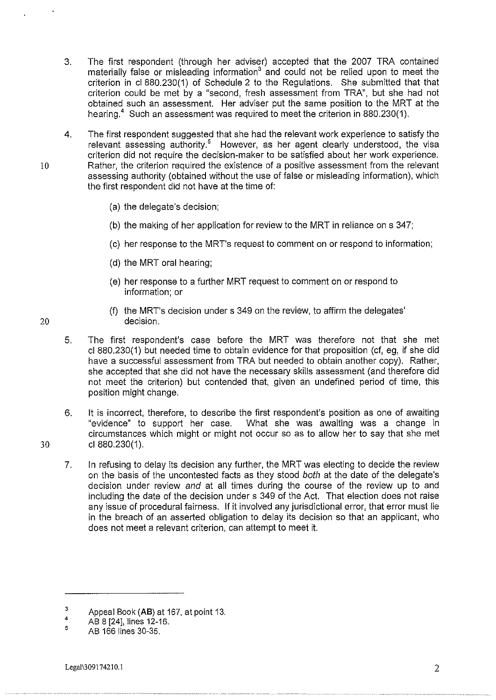- 3. The first respondent (through her adviser) accepted that the 2007 TRA contained materially false or misleading information<sup>3</sup> and could not be relied upon to meet the criterion in cl 880.230(1) of Schedule 2 to the Regulations. She submitted that that criterion could be met by a "second, fresh assessment from TRA", but she had not obtained such an assessment. Her adviser put the same position to the MRT at the hearing.<sup>4</sup> Such an assessment was required to meet the criterion in 880.230(1).
- 4. The first respondent suggested that she had the relevant work experience to satisfy the relevant assessing authority.<sup>5</sup> However, as her agent clearly understood, the visa criterion did not require the decision-maker to be satisfied about her work experience. 10 Rather, the criterion required the existence of a positive assessment from the relevant assessing authority (obtained without the use of false or misleading information), which the first respondent did not have at the time of:
	- (a) the delegate's decision;
	- (b) the making of her application for review *to* the MRT in reliance on s 347;
	- (c) her response to the MRT's request to comment on or respond to information;
	- (d) the MRT oral hearing;
	- (e) her response to a further MRT request to comment on or respond to information; or
- (f) the MRT's decision under s 349 on the review, to affirm the delegates' 20 decision.
	- 5. The first respondent's case before the MRT was therefore not that she met cl 880.230(1) but needed time to obtain evidence for that proposition (cf, eg, if she did have a successful assessment from TRA but needed to obtain another copy). Rather, she accepted that she did not have the necessary skills assessment (and therefore did not meet the criterion) but contended that, given an undefined period of time, this position might change.
	- 6. It is incorrect, therefore, to describe the first respondent's position as one of awaiting "evidence" to support her case. What she was awaiting was a change in circumstances which might or might not occur so as to allow her to say that she met cl 880.230(1).
	- 7. In refusing to delay its decision any further, the MRT was electing to decide the review on the basis of the uncontested facts as they stood both at the date of the delegate's decision under review and at all times during the course of the review up to and including the date of the decision under s 349 of the Act. That election does not raise any issue of procedural fairness. If it involved any jurisdictional error, that error must lie in the breach of an asserted obligation to delay its decision so that an applicant, who does not meet a relevant criterion, can attempt to meet it.

30

<sup>3</sup>  Appeal Book {AB) at 167, at point 13.

<sup>4</sup>  AB 8 [24], lines 12-16.

<sup>5</sup>  AB 166 lines 30-35.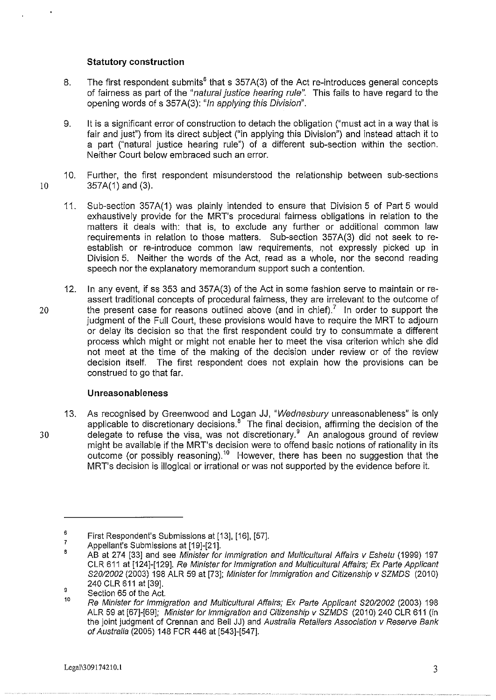#### **Statutory construction**

- 8. The first respondent submits<sup>6</sup> that s 357A(3) of the Act re-introduces general concepts of fairness as part of the "natural justice hearing rule". This fails to have regard to the opening words of s 357A(3): "In applying this Division".
- 9. It is a significant error of construction to detach the obligation ("must act in a way that is fair and just") from its direct subject ("in applying this Division") and instead attach it to a part ("natural justice hearing rule") of a different sub-section within the section. Neither Court below embraced such an error.
- 10. Further, the first respondent misunderstood the relationship between sub-sections 10 357A(1) and (3).
	- 11. Sub-section 357A(1) was plainly intended to ensure that Division 5 of Part 5 would exhaustively provide for the MRT's procedural fairness obligations in relation to the matters it deals with: that is, to exclude any further or additional common law requirements in relation to those matters. Sub-section 357 A(3) did not seek to reestablish or re-introduce common law requirements, not expressly picked up in Division 5. Neither the words of the Act, read as a whole, nor the second reading speech nor the explanatory memorandum support such a contention.
- 12. In any event, if ss 353 and 357A(3) of the Act in some fashion serve to maintain or reassert traditional concepts of procedural fairness, they are irrelevant to the outcome of 20 the present case for reasons outlined above (and in chief).<sup>7</sup> In order to support the judgment of the Full Court, these provisions would have to require the MRT to adjourn or delay its decision so that the first respondent could try to consummate a different process which might or might not enable her to meet the visa criterion which she did not meet at the time of the making of the decision under review or of the review decision itself. The first respondent does not explain how the provisions can be construed to go that far.

#### **Unreasonableness**

13. As recognised by Greenwood and Logan JJ, "Wednesbury unreasonableness" is only applicable to discretionary decisions. $8^{\circ}$  The final decision, affirming the decision of the 30 delegate to refuse the visa, was not discretionary.<sup>9</sup> An analogous ground of review might be available if the MRT's decision were to offend basic notions of rationality in its outcome (or possibly reasoning).<sup>10</sup> However, there has been no suggestion that the MRT's decision is illogical or irrational or was not supported by the evidence before it.

<sup>6</sup>  7 First Respondent's Submissions at [13], [16], [57].

Appellant's Submissions at [19]-[21].

<sup>8</sup>  AB at 274 [33] and see Minister for Immigration and Multicultural Affairs v Eshetu (1999) 197 CLR 611 at [124]-[129]. Re Minister for Immigration and Multicultural Affairs; Ex Parte Applicant S20/2002 (2003) 198 ALR 59 at [73]; Minister for Immigration and Citizenship v SZMDS (2010) 240 CLR 611 at [39].

<sup>9</sup>  Section 65 of the Act.

<sup>10</sup>  Re Minister for Immigration and Multicultural Affairs; Ex Parte Applicant S20/2002 (2003) 198 ALR 59 at [67]-[69]; Minister for Immigration and Citizenship v SZMDS (2010) 240 CLR 611 (in the joint judgment of Grennan and Bell JJ) and Australia Retailers Association v Reserve Bank of Australia (2005) 148 FCR 446 at [543]-[547].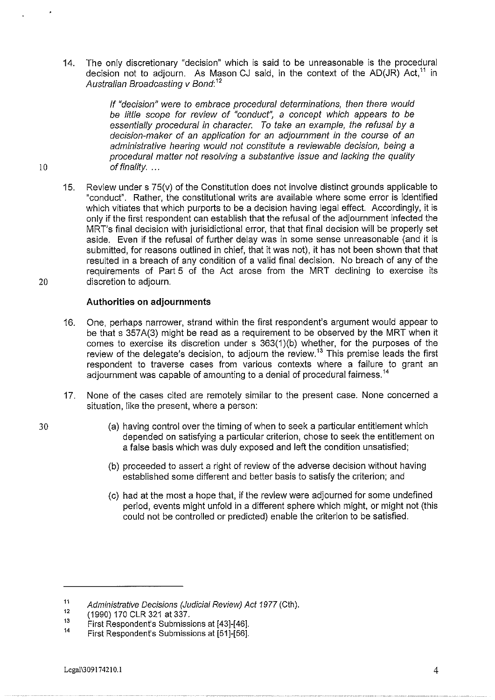14. The only discretionary "decision" which is said to be unreasonable is the procedural decision not to adjourn. As Mason CJ said, in the context of the AD(JR) Act,<sup>11</sup> in Australian Broadcasting v Bond: <sup>12</sup>

If "decision" were to embrace procedural determinations, then there would be little scope for review of "conduct", a concept which appears to be essentially procedural in character. To take an example, the refusal by a decision-maker of an application for an adjournment in the course of an administrative hearing would not constitute a reviewable decision, being a procedural matter not resolving a substantive issue and lacking the quality 10 of finality. ...

15. Review under s 75(v) of the Constitution does not involve distinct grounds applicable to "conduct". Rather, the constitutional writs are available where some error is identified which vitiates that which purports to be a decision having legal effect. Accordingly, it is only if the first respondent can establish that the refusal of the adjournment infected the MRT's final decision with jurisidictional error, that that final decision will be properly set aside. Even if the refusal of further delay was in some sense unreasonable (and it is submitted, for reasons outlined in chief, that it was not), it has not been shown that that resulted in a breach of any condition of a valid final decision. No breach of any of the requirements of Part 5 of the Act arose from the MRT declining to exercise its 20 discretion to adjourn.

#### **Authorities on adjournments**

- 16. One, perhaps narrower, strand within the first respondent's argument would appear to be that s 357A(3) might be read as a requirement to be observed by the MRT when it comes to exercise its discretion under s 363(1)(b) whether, for the purposes of the review of the delegate's decision, to adjourn the review.<sup>13</sup> This premise leads the first respondent to traverse cases from various contexts where a failure to grant an adjournment was capable of amounting to a denial of procedural fairness.<sup>14</sup>
- 17. None of the cases cited are remotely similar to the present case. None concerned a situation, like the present, where a person:
- 30 (a) having control over the timing of when to seek a particular entitlement which depended on satisfying a particular criterion, chose to seek the entitlement on a false basis which was duly exposed and left the condition unsatisfied;
	- (b) proceeded to assert a right of review of the adverse decision without having established some different and better basis to satisfy the criterion; and
	- (c) had at the most a hope that, if the review were adjourned for some undefined period, events might unfold in a different sphere which might, or might not (this could not be controlled or predicted) enable the criterion to be satisfied.

<sup>11</sup>  Administrative Decisions (Judicial Review) Act 1977 (Cth).

<sup>12</sup>  (1990) 170 CLR 321 at 337.

<sup>13</sup>  First Respondent's Submissions at [43]-[46].

<sup>14</sup>  First Respondent's Submissions at [51]-[56].